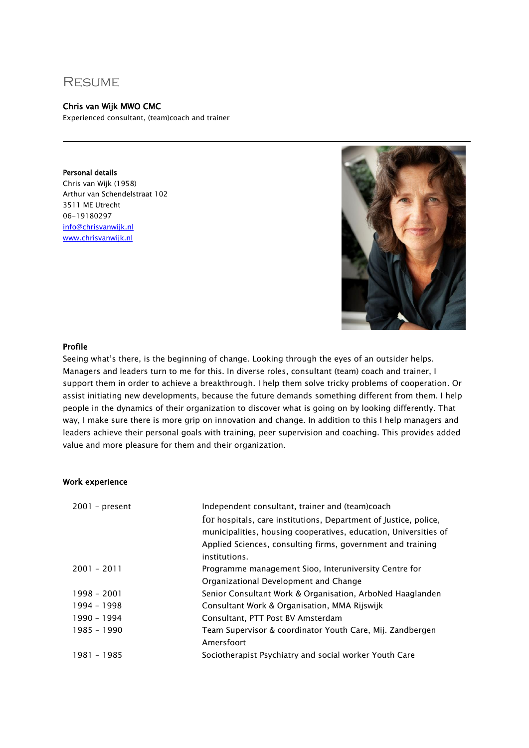# **RESUME**

### Chris van Wijk MWO CMC

Experienced consultant, (team)coach and trainer

Personal details Chris van Wijk (1958) Arthur van Schendelstraat 102 3511 ME Utrecht 06-19180297 [info@chrisvanwijk.nl](mailto:info@chrisvanwijk.nl) [www.chrisvanwijk.nl](http://www.chrisvanwijk.nl/)



#### Profile

Seeing what's there, is the beginning of change. Looking through the eyes of an outsider helps. Managers and leaders turn to me for this. In diverse roles, consultant (team) coach and trainer, I support them in order to achieve a breakthrough. I help them solve tricky problems of cooperation. Or assist initiating new developments, because the future demands something different from them. I help people in the dynamics of their organization to discover what is going on by looking differently. That way, I make sure there is more grip on innovation and change. In addition to this I help managers and leaders achieve their personal goals with training, peer supervision and coaching. This provides added value and more pleasure for them and their organization.

#### Work experience

| Independent consultant, trainer and (team)coach                  |
|------------------------------------------------------------------|
| for hospitals, care institutions, Department of Justice, police, |
| municipalities, housing cooperatives, education, Universities of |
| Applied Sciences, consulting firms, government and training      |
| institutions.                                                    |
| Programme management Sioo, Interuniversity Centre for            |
| Organizational Development and Change                            |
| Senior Consultant Work & Organisation, ArboNed Haaglanden        |
| Consultant Work & Organisation, MMA Rijswijk                     |
| Consultant, PTT Post BV Amsterdam                                |
| Team Supervisor & coordinator Youth Care, Mij. Zandbergen        |
| Amersfoort                                                       |
| Sociotherapist Psychiatry and social worker Youth Care           |
|                                                                  |